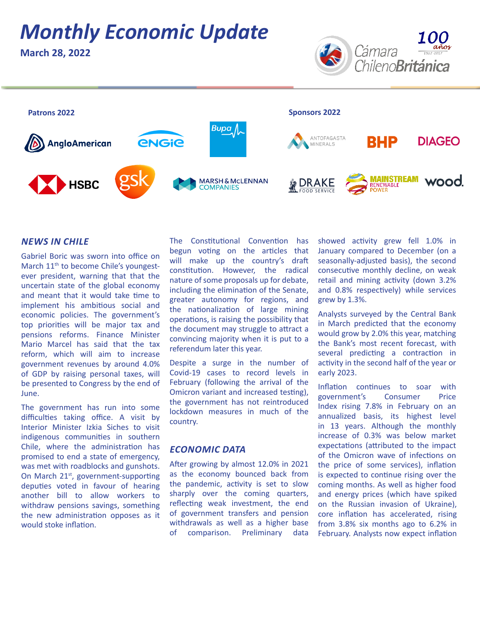# *Monthly Economic Update*

**March 28, 2022**





### *NEWS IN CHILE*

Gabriel Boric was sworn into office on March 11<sup>th</sup> to become Chile's youngestever president, warning that that the uncertain state of the global economy and meant that it would take time to implement his ambitious social and economic policies. The government's top priorities will be major tax and pensions reforms. Finance Minister Mario Marcel has said that the tax reform, which will aim to increase government revenues by around 4.0% of GDP by raising personal taxes, will be presented to Congress by the end of June.

The government has run into some difficulties taking office. A visit by Interior Minister Izkia Siches to visit indigenous communities in southern Chile, where the administration has promised to end a state of emergency, was met with roadblocks and gunshots. On March 21<sup>st</sup>, government-supporting deputies voted in favour of hearing another bill to allow workers to withdraw pensions savings, something the new administration opposes as it would stoke inflation.

The Constitutional Convention has begun voting on the articles that will make up the country's draft constitution. However, the radical nature of some proposals up for debate, including the elimination of the Senate, greater autonomy for regions, and the nationalization of large mining operations, is raising the possibility that the document may struggle to attract a convincing majority when it is put to a referendum later this year.

Despite a surge in the number of Covid-19 cases to record levels in February (following the arrival of the Omicron variant and increased testing), the government has not reintroduced lockdown measures in much of the country.

#### *ECONOMIC DATA*

After growing by almost 12.0% in 2021 as the economy bounced back from the pandemic, activity is set to slow sharply over the coming quarters, reflecting weak investment, the end of government transfers and pension withdrawals as well as a higher base of comparison. Preliminary data

showed activity grew fell 1.0% in January compared to December (on a seasonally-adjusted basis), the second consecutive monthly decline, on weak retail and mining activity (down 3.2% and 0.8% respectively) while services grew by 1.3%.

Analysts surveyed by the Central Bank in March predicted that the economy would grow by 2.0% this year, matching the Bank's most recent forecast, with several predicting a contraction in activity in the second half of the year or early 2023.

Inflation continues to soar with government's Consumer Price Index rising 7.8% in February on an annualized basis, its highest level in 13 years. Although the monthly increase of 0.3% was below market expectations (attributed to the impact of the Omicron wave of infections on the price of some services), inflation is expected to continue rising over the coming months. As well as higher food and energy prices (which have spiked on the Russian invasion of Ukraine), core inflation has accelerated, rising from 3.8% six months ago to 6.2% in February. Analysts now expect inflation